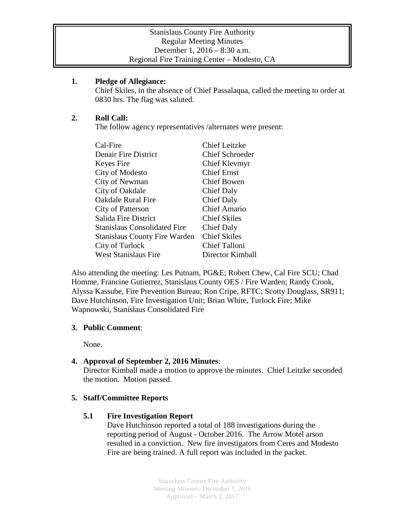#### **1. Pledge of Allegiance:**

Chief Skiles, in the absence of Chief Passalaqua, called the meeting to order at 0830 hrs. The flag was saluted.

# **2. Roll Call:**

The follow agency representatives /alternates were present:

| Cal-Fire                             | <b>Chief Leitzke</b>   |
|--------------------------------------|------------------------|
| <b>Denair Fire District</b>          | <b>Chief Schroeder</b> |
| Keyes Fire                           | Chief Klevmyr          |
| City of Modesto                      | <b>Chief Ernst</b>     |
| City of Newman                       | <b>Chief Bowen</b>     |
| City of Oakdale                      | Chief Daly             |
| <b>Oakdale Rural Fire</b>            | Chief Daly             |
| City of Patterson                    | <b>Chief Amario</b>    |
| Salida Fire District                 | <b>Chief Skiles</b>    |
| Stanislaus Consolidated Fire         | Chief Daly             |
| <b>Stanislaus County Fire Warden</b> | <b>Chief Skiles</b>    |
| City of Turlock                      | <b>Chief Talloni</b>   |
| <b>West Stanislaus Fire</b>          | Director Kimball       |

Also attending the meeting: Les Putnam, PG&E; Robert Chew, Cal Fire SCU; Chad Homme, Francine Gutierrez, Stanislaus County OES / Fire Warden; Randy Crook, Alyssa Kassube, Fire Prevention Bureau; Ron Cripe, RFTC; Scotty Douglass, SR911; Dave Hutchinson, Fire Investigation Unit; Brian White, Turlock Fire; Mike Wapnowski, Stanislaus Consolidated Fire

# **3. Public Comment**:

None.

# **4. Approval of September 2, 2016 Minutes**:

Director Kimball made a motion to approve the minutes. Chief Leitzke seconded the motion. Motion passed.

# **5. Staff/Committee Reports**

# **5.1 Fire Investigation Report**

Dave Hutchinson reported a total of 188 investigations during the reporting period of August - October 2016. The Arrow Motel arson resulted in a conviction. New fire investigators from Ceres and Modesto Fire are being trained. A full report was included in the packet.

> Stanislaus County Fire Authority Meeting Minutes- December 1, 2016 Approved – March 2, 2017